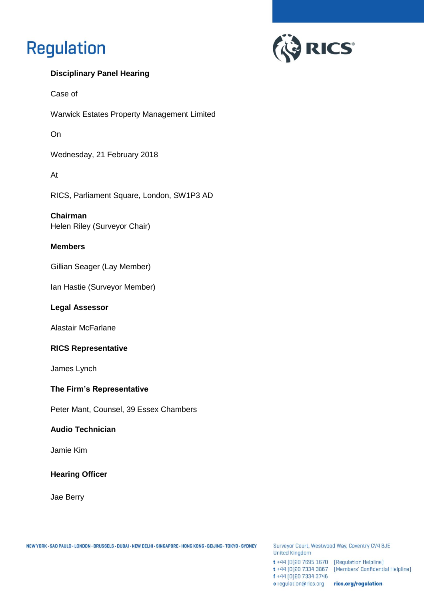# **Regulation**



### **Disciplinary Panel Hearing**

Case of

Warwick Estates Property Management Limited

On

Wednesday, 21 February 2018

At

RICS, Parliament Square, London, SW1P3 AD

**Chairman**  Helen Riley (Surveyor Chair)

### **Members**

Gillian Seager (Lay Member)

Ian Hastie (Surveyor Member)

### **Legal Assessor**

Alastair McFarlane

### **RICS Representative**

James Lynch

### **The Firm's Representative**

Peter Mant, Counsel, 39 Essex Chambers

### **Audio Technician**

Jamie Kim

### **Hearing Officer**

Jae Berry

Surveyor Court, Westwood Way, Coventry CV4 8JE **United Kingdom** 

 $t + 44$  [0]20 7695 1670 [Regulation Helpline] f +44 [0] 20 7334 3746 e regulation@rics.org rics.org/regulation

t +44 [0]20 7334 3867 [Members' Confidential Helpline]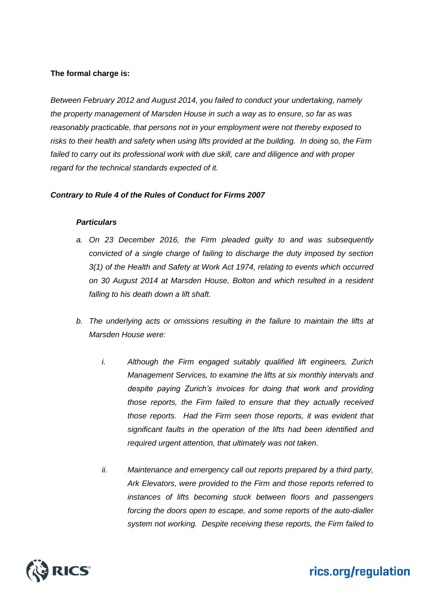### **The formal charge is:**

*Between February 2012 and August 2014, you failed to conduct your undertaking, namely the property management of Marsden House in such a way as to ensure, so far as was reasonably practicable, that persons not in your employment were not thereby exposed to risks to their health and safety when using lifts provided at the building. In doing so, the Firm*  failed to carry out its professional work with due skill, care and diligence and with proper *regard for the technical standards expected of it.*

### *Contrary to Rule 4 of the Rules of Conduct for Firms 2007*

### *Particulars*

- *a. On 23 December 2016, the Firm pleaded guilty to and was subsequently convicted of a single charge of failing to discharge the duty imposed by section 3(1) of the Health and Safety at Work Act 1974, relating to events which occurred on 30 August 2014 at Marsden House, Bolton and which resulted in a resident falling to his death down a lift shaft.*
- *b. The underlying acts or omissions resulting in the failure to maintain the lifts at Marsden House were:*
	- *i. Although the Firm engaged suitably qualified lift engineers, Zurich Management Services, to examine the lifts at six monthly intervals and despite paying Zurich's invoices for doing that work and providing those reports, the Firm failed to ensure that they actually received those reports. Had the Firm seen those reports, it was evident that significant faults in the operation of the lifts had been identified and required urgent attention, that ultimately was not taken.*
	- *ii. Maintenance and emergency call out reports prepared by a third party, Ark Elevators, were provided to the Firm and those reports referred to instances of lifts becoming stuck between floors and passengers forcing the doors open to escape, and some reports of the auto-dialler system not working. Despite receiving these reports, the Firm failed to*

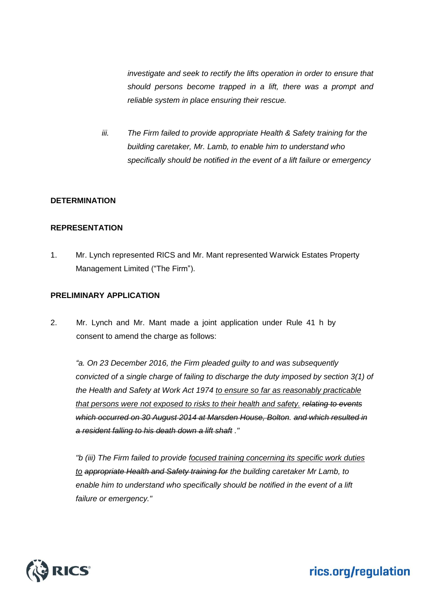*investigate and seek to rectify the lifts operation in order to ensure that should persons become trapped in a lift, there was a prompt and reliable system in place ensuring their rescue.*

*iii. The Firm failed to provide appropriate Health & Safety training for the building caretaker, Mr. Lamb, to enable him to understand who specifically should be notified in the event of a lift failure or emergency*

### **DETERMINATION**

### **REPRESENTATION**

1. Mr. Lynch represented RICS and Mr. Mant represented Warwick Estates Property Management Limited ("The Firm").

### **PRELIMINARY APPLICATION**

2. Mr. Lynch and Mr. Mant made a joint application under Rule 41 h by consent to amend the charge as follows:

*"a. On 23 December 2016, the Firm pleaded guilty to and was subsequently convicted of a single charge of failing to discharge the duty imposed by section 3(1) of the Health and Safety at Work Act 1974 to ensure so far as reasonably practicable that persons were not exposed to risks to their health and safety. relating to events which occurred on 30 August 2014 at Marsden House, Bolton. and which resulted in a resident falling to his death down a lift shaft ."*

*"b (iii) The Firm failed to provide focused training concerning its specific work duties to appropriate Health and Safety training for the building caretaker Mr Lamb, to enable him to understand who specifically should be notified in the event of a lift failure or emergency."*

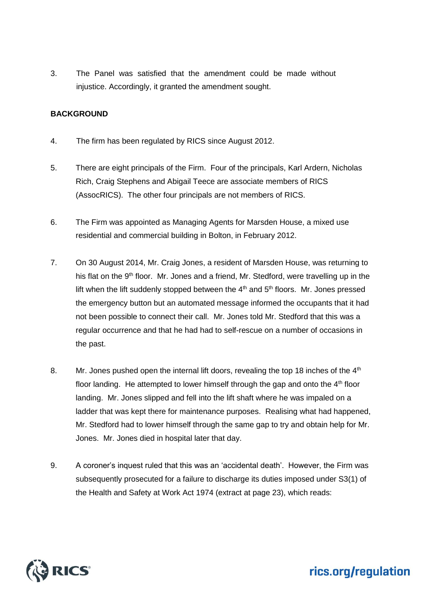3. The Panel was satisfied that the amendment could be made without injustice. Accordingly, it granted the amendment sought.

### **BACKGROUND**

- 4. The firm has been regulated by RICS since August 2012.
- 5. There are eight principals of the Firm. Four of the principals, Karl Ardern, Nicholas Rich, Craig Stephens and Abigail Teece are associate members of RICS (AssocRICS). The other four principals are not members of RICS.
- 6. The Firm was appointed as Managing Agents for Marsden House, a mixed use residential and commercial building in Bolton, in February 2012.
- 7. On 30 August 2014, Mr. Craig Jones, a resident of Marsden House, was returning to his flat on the 9<sup>th</sup> floor. Mr. Jones and a friend, Mr. Stedford, were travelling up in the lift when the lift suddenly stopped between the  $4<sup>th</sup>$  and  $5<sup>th</sup>$  floors. Mr. Jones pressed the emergency button but an automated message informed the occupants that it had not been possible to connect their call. Mr. Jones told Mr. Stedford that this was a regular occurrence and that he had had to self-rescue on a number of occasions in the past.
- 8. Mr. Jones pushed open the internal lift doors, revealing the top 18 inches of the 4<sup>th</sup> floor landing. He attempted to lower himself through the gap and onto the  $4<sup>th</sup>$  floor landing. Mr. Jones slipped and fell into the lift shaft where he was impaled on a ladder that was kept there for maintenance purposes. Realising what had happened, Mr. Stedford had to lower himself through the same gap to try and obtain help for Mr. Jones. Mr. Jones died in hospital later that day.
- 9. A coroner's inquest ruled that this was an 'accidental death'. However, the Firm was subsequently prosecuted for a failure to discharge its duties imposed under S3(1) of the Health and Safety at Work Act 1974 (extract at page 23), which reads:

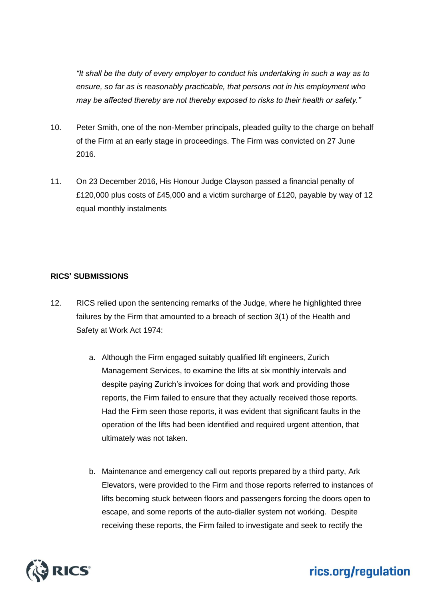*"It shall be the duty of every employer to conduct his undertaking in such a way as to ensure, so far as is reasonably practicable, that persons not in his employment who may be affected thereby are not thereby exposed to risks to their health or safety."*

- 10. Peter Smith, one of the non-Member principals, pleaded guilty to the charge on behalf of the Firm at an early stage in proceedings. The Firm was convicted on 27 June 2016.
- 11. On 23 December 2016, His Honour Judge Clayson passed a financial penalty of £120,000 plus costs of £45,000 and a victim surcharge of £120, payable by way of 12 equal monthly instalments

### **RICS' SUBMISSIONS**

- 12. RICS relied upon the sentencing remarks of the Judge, where he highlighted three failures by the Firm that amounted to a breach of section 3(1) of the Health and Safety at Work Act 1974:
	- a. Although the Firm engaged suitably qualified lift engineers, Zurich Management Services, to examine the lifts at six monthly intervals and despite paying Zurich's invoices for doing that work and providing those reports, the Firm failed to ensure that they actually received those reports. Had the Firm seen those reports, it was evident that significant faults in the operation of the lifts had been identified and required urgent attention, that ultimately was not taken.
	- b. Maintenance and emergency call out reports prepared by a third party, Ark Elevators, were provided to the Firm and those reports referred to instances of lifts becoming stuck between floors and passengers forcing the doors open to escape, and some reports of the auto-dialler system not working. Despite receiving these reports, the Firm failed to investigate and seek to rectify the

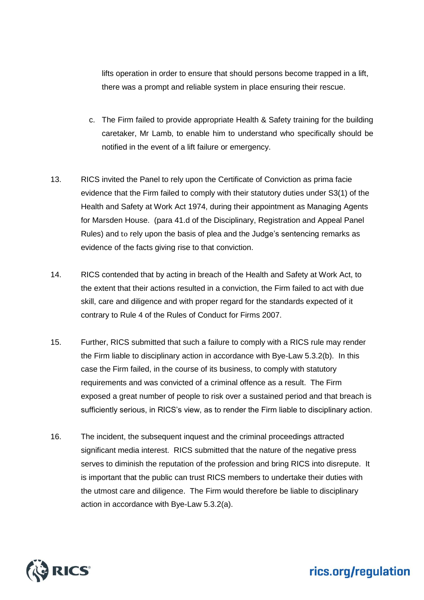lifts operation in order to ensure that should persons become trapped in a lift, there was a prompt and reliable system in place ensuring their rescue.

- c. The Firm failed to provide appropriate Health & Safety training for the building caretaker, Mr Lamb, to enable him to understand who specifically should be notified in the event of a lift failure or emergency.
- 13. RICS invited the Panel to rely upon the Certificate of Conviction as prima facie evidence that the Firm failed to comply with their statutory duties under S3(1) of the Health and Safety at Work Act 1974, during their appointment as Managing Agents for Marsden House. (para 41.d of the Disciplinary, Registration and Appeal Panel Rules) and to rely upon the basis of plea and the Judge's sentencing remarks as evidence of the facts giving rise to that conviction.
- 14. RICS contended that by acting in breach of the Health and Safety at Work Act, to the extent that their actions resulted in a conviction, the Firm failed to act with due skill, care and diligence and with proper regard for the standards expected of it contrary to Rule 4 of the Rules of Conduct for Firms 2007.
- 15. Further, RICS submitted that such a failure to comply with a RICS rule may render the Firm liable to disciplinary action in accordance with Bye-Law 5.3.2(b). In this case the Firm failed, in the course of its business, to comply with statutory requirements and was convicted of a criminal offence as a result. The Firm exposed a great number of people to risk over a sustained period and that breach is sufficiently serious, in RICS's view, as to render the Firm liable to disciplinary action.
- 16. The incident, the subsequent inquest and the criminal proceedings attracted significant media interest. RICS submitted that the nature of the negative press serves to diminish the reputation of the profession and bring RICS into disrepute. It is important that the public can trust RICS members to undertake their duties with the utmost care and diligence. The Firm would therefore be liable to disciplinary action in accordance with Bye-Law 5.3.2(a).

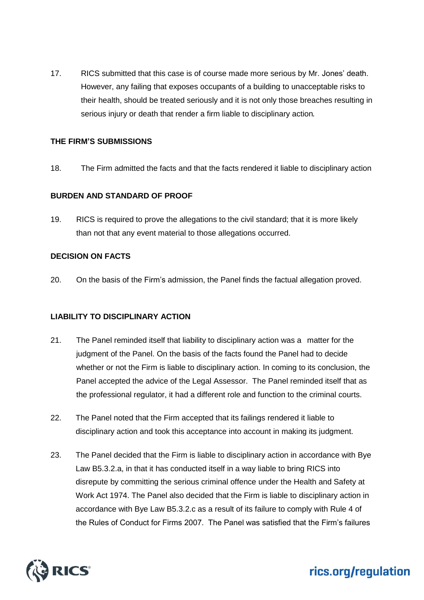17. RICS submitted that this case is of course made more serious by Mr. Jones' death. However, any failing that exposes occupants of a building to unacceptable risks to their health, should be treated seriously and it is not only those breaches resulting in serious injury or death that render a firm liable to disciplinary action.

### **THE FIRM'S SUBMISSIONS**

18. The Firm admitted the facts and that the facts rendered it liable to disciplinary action

### **BURDEN AND STANDARD OF PROOF**

19. RICS is required to prove the allegations to the civil standard; that it is more likely than not that any event material to those allegations occurred.

### **DECISION ON FACTS**

20. On the basis of the Firm's admission, the Panel finds the factual allegation proved.

### **LIABILITY TO DISCIPLINARY ACTION**

- 21. The Panel reminded itself that liability to disciplinary action was a matter for the judgment of the Panel. On the basis of the facts found the Panel had to decide whether or not the Firm is liable to disciplinary action. In coming to its conclusion, the Panel accepted the advice of the Legal Assessor. The Panel reminded itself that as the professional regulator, it had a different role and function to the criminal courts.
- 22. The Panel noted that the Firm accepted that its failings rendered it liable to disciplinary action and took this acceptance into account in making its judgment.
- 23. The Panel decided that the Firm is liable to disciplinary action in accordance with Bye Law B5.3.2.a, in that it has conducted itself in a way liable to bring RICS into disrepute by committing the serious criminal offence under the Health and Safety at Work Act 1974. The Panel also decided that the Firm is liable to disciplinary action in accordance with Bye Law B5.3.2.c as a result of its failure to comply with Rule 4 of the Rules of Conduct for Firms 2007. The Panel was satisfied that the Firm's failures

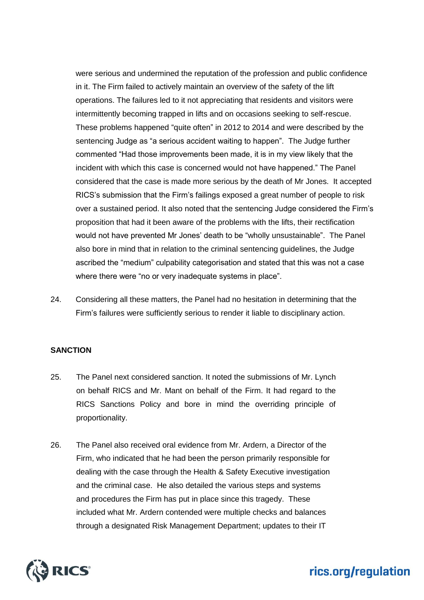were serious and undermined the reputation of the profession and public confidence in it. The Firm failed to actively maintain an overview of the safety of the lift operations. The failures led to it not appreciating that residents and visitors were intermittently becoming trapped in lifts and on occasions seeking to self-rescue. These problems happened "quite often" in 2012 to 2014 and were described by the sentencing Judge as "a serious accident waiting to happen". The Judge further commented "Had those improvements been made, it is in my view likely that the incident with which this case is concerned would not have happened." The Panel considered that the case is made more serious by the death of Mr Jones. It accepted RICS's submission that the Firm's failings exposed a great number of people to risk over a sustained period. It also noted that the sentencing Judge considered the Firm's proposition that had it been aware of the problems with the lifts, their rectification would not have prevented Mr Jones' death to be "wholly unsustainable". The Panel also bore in mind that in relation to the criminal sentencing guidelines, the Judge ascribed the "medium" culpability categorisation and stated that this was not a case where there were "no or very inadequate systems in place".

24. Considering all these matters, the Panel had no hesitation in determining that the Firm's failures were sufficiently serious to render it liable to disciplinary action.

#### **SANCTION**

- 25. The Panel next considered sanction. It noted the submissions of Mr. Lynch on behalf RICS and Mr. Mant on behalf of the Firm. It had regard to the RICS Sanctions Policy and bore in mind the overriding principle of proportionality.
- 26. The Panel also received oral evidence from Mr. Ardern, a Director of the Firm, who indicated that he had been the person primarily responsible for dealing with the case through the Health & Safety Executive investigation and the criminal case. He also detailed the various steps and systems and procedures the Firm has put in place since this tragedy. These included what Mr. Ardern contended were multiple checks and balances through a designated Risk Management Department; updates to their IT

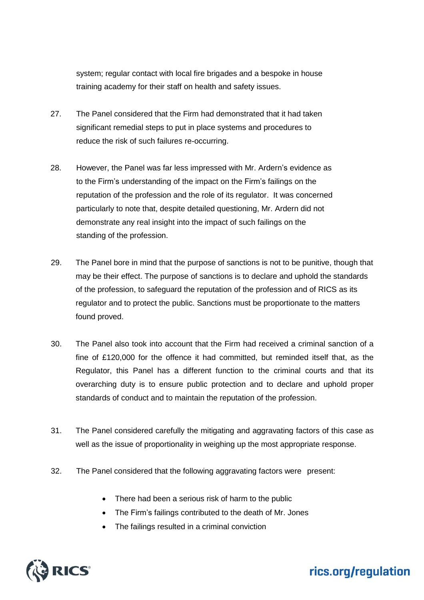system; regular contact with local fire brigades and a bespoke in house training academy for their staff on health and safety issues.

- 27. The Panel considered that the Firm had demonstrated that it had taken significant remedial steps to put in place systems and procedures to reduce the risk of such failures re-occurring.
- 28. However, the Panel was far less impressed with Mr. Ardern's evidence as to the Firm's understanding of the impact on the Firm's failings on the reputation of the profession and the role of its regulator. It was concerned particularly to note that, despite detailed questioning, Mr. Ardern did not demonstrate any real insight into the impact of such failings on the standing of the profession.
- 29. The Panel bore in mind that the purpose of sanctions is not to be punitive, though that may be their effect. The purpose of sanctions is to declare and uphold the standards of the profession, to safeguard the reputation of the profession and of RICS as its regulator and to protect the public. Sanctions must be proportionate to the matters found proved.
- 30. The Panel also took into account that the Firm had received a criminal sanction of a fine of £120,000 for the offence it had committed, but reminded itself that, as the Regulator, this Panel has a different function to the criminal courts and that its overarching duty is to ensure public protection and to declare and uphold proper standards of conduct and to maintain the reputation of the profession.
- 31. The Panel considered carefully the mitigating and aggravating factors of this case as well as the issue of proportionality in weighing up the most appropriate response.
- 32. The Panel considered that the following aggravating factors were present:
	- There had been a serious risk of harm to the public
	- The Firm's failings contributed to the death of Mr. Jones
	- The failings resulted in a criminal conviction

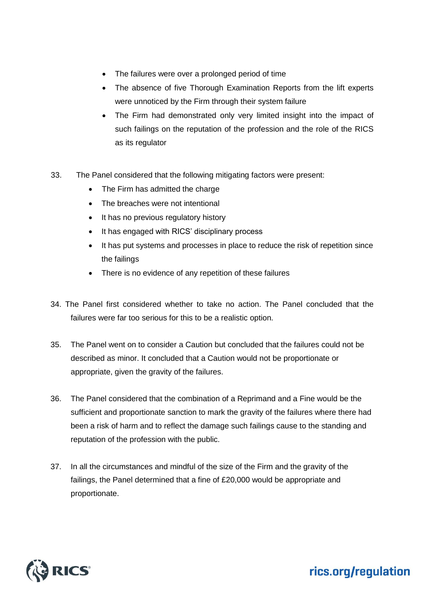- The failures were over a prolonged period of time
- The absence of five Thorough Examination Reports from the lift experts were unnoticed by the Firm through their system failure
- The Firm had demonstrated only very limited insight into the impact of such failings on the reputation of the profession and the role of the RICS as its regulator
- 33. The Panel considered that the following mitigating factors were present:
	- The Firm has admitted the charge
	- The breaches were not intentional
	- It has no previous regulatory history
	- It has engaged with RICS' disciplinary process
	- It has put systems and processes in place to reduce the risk of repetition since the failings
	- There is no evidence of any repetition of these failures
- 34. The Panel first considered whether to take no action. The Panel concluded that the failures were far too serious for this to be a realistic option.
- 35. The Panel went on to consider a Caution but concluded that the failures could not be described as minor. It concluded that a Caution would not be proportionate or appropriate, given the gravity of the failures.
- 36. The Panel considered that the combination of a Reprimand and a Fine would be the sufficient and proportionate sanction to mark the gravity of the failures where there had been a risk of harm and to reflect the damage such failings cause to the standing and reputation of the profession with the public.
- 37. In all the circumstances and mindful of the size of the Firm and the gravity of the failings, the Panel determined that a fine of £20,000 would be appropriate and proportionate.

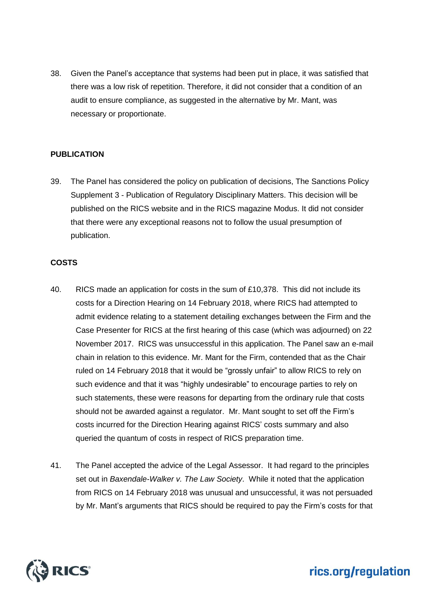38. Given the Panel's acceptance that systems had been put in place, it was satisfied that there was a low risk of repetition. Therefore, it did not consider that a condition of an audit to ensure compliance, as suggested in the alternative by Mr. Mant, was necessary or proportionate.

### **PUBLICATION**

39. The Panel has considered the policy on publication of decisions, The Sanctions Policy Supplement 3 - Publication of Regulatory Disciplinary Matters. This decision will be published on the RICS website and in the RICS magazine Modus. It did not consider that there were any exceptional reasons not to follow the usual presumption of publication.

### **COSTS**

- 40. RICS made an application for costs in the sum of £10,378. This did not include its costs for a Direction Hearing on 14 February 2018, where RICS had attempted to admit evidence relating to a statement detailing exchanges between the Firm and the Case Presenter for RICS at the first hearing of this case (which was adjourned) on 22 November 2017. RICS was unsuccessful in this application. The Panel saw an e-mail chain in relation to this evidence. Mr. Mant for the Firm, contended that as the Chair ruled on 14 February 2018 that it would be "grossly unfair" to allow RICS to rely on such evidence and that it was "highly undesirable" to encourage parties to rely on such statements, these were reasons for departing from the ordinary rule that costs should not be awarded against a regulator. Mr. Mant sought to set off the Firm's costs incurred for the Direction Hearing against RICS' costs summary and also queried the quantum of costs in respect of RICS preparation time.
- 41. The Panel accepted the advice of the Legal Assessor. It had regard to the principles set out in *Baxendale-Walker v. The Law Society*. While it noted that the application from RICS on 14 February 2018 was unusual and unsuccessful, it was not persuaded by Mr. Mant's arguments that RICS should be required to pay the Firm's costs for that